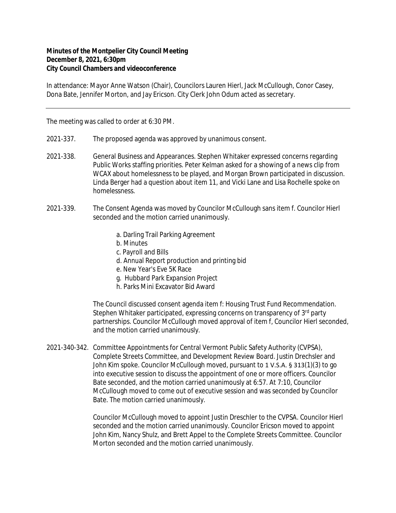## **Minutes of the Montpelier City Council Meeting December 8, 2021, 6:30pm City Council Chambers and videoconference**

In attendance: Mayor Anne Watson (Chair), Councilors Lauren Hierl, Jack McCullough, Conor Casey, Dona Bate, Jennifer Morton, and Jay Ericson. City Clerk John Odum acted as secretary.

The meeting was called to order at 6:30 PM.

- 2021-337. The proposed agenda was approved by unanimous consent.
- 2021-338. General Business and Appearances. Stephen Whitaker expressed concerns regarding Public Works staffing priorities. Peter Kelman asked for a showing of a news clip from WCAX about homelessness to be played, and Morgan Brown participated in discussion. Linda Berger had a question about item 11, and Vicki Lane and Lisa Rochelle spoke on homelessness.
- 2021-339. The Consent Agenda was moved by Councilor McCullough sans item f. Councilor Hierl seconded and the motion carried unanimously.
	- a. Darling Trail Parking Agreement
	- b. Minutes
	- c. Payroll and Bills
	- d. Annual Report production and printing bid
	- e. New Year's Eve 5K Race
	- g. Hubbard Park Expansion Project
	- h. Parks Mini Excavator Bid Award

The Council discussed consent agenda item f: Housing Trust Fund Recommendation. Stephen Whitaker participated, expressing concerns on transparency of 3rd party partnerships. Councilor McCullough moved approval of item f, Councilor Hierl seconded, and the motion carried unanimously.

2021-340-342. Committee Appointments for Central Vermont Public Safety Authority (CVPSA), Complete Streets Committee, and Development Review Board. Justin Drechsler and John Kim spoke. Councilor McCullough moved, pursuant to 1 V.S.A. § 313(1)(3) to go into executive session to discuss the appointment of one or more officers. Councilor Bate seconded, and the motion carried unanimously at 6:57. At 7:10, Councilor McCullough moved to come out of executive session and was seconded by Councilor Bate. The motion carried unanimously.

> Councilor McCullough moved to appoint Justin Dreschler to the CVPSA. Councilor Hierl seconded and the motion carried unanimously. Councilor Ericson moved to appoint John Kim, Nancy Shulz, and Brett Appel to the Complete Streets Committee. Councilor Morton seconded and the motion carried unanimously.